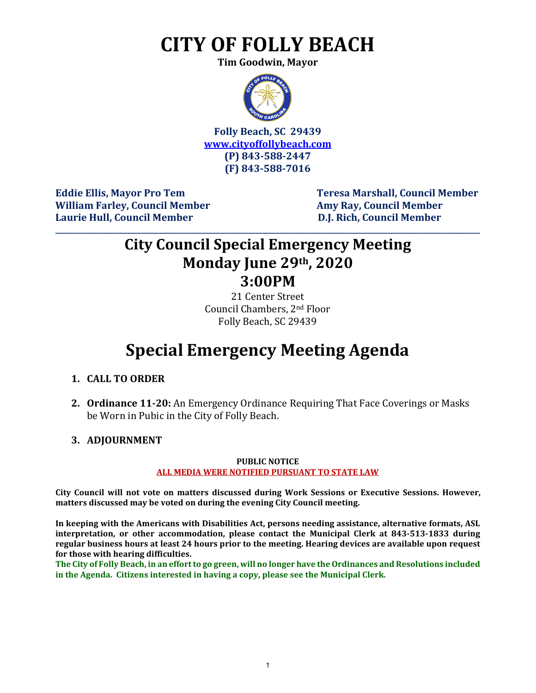# **CITY OF FOLLY BEACH**

**Tim Goodwin, Mayor**



**Folly Beach, SC 29439 [www.cityoffollybeach.com](http://www.cityoffollybeach.com/) (P) 843-588-2447 (F) 843-588-7016**

William Farley, Council Member **Amy Ray, Council Member Amy Ray, Council Member Laurie Hull, Council Member D.J. Rich, Council Member**

Eddie Ellis, Mayor Pro Tem Teresa Marshall, Council Member

## **City Council Special Emergency Meeting Monday June 29th, 2020 3:00PM**

**\_\_\_\_\_\_\_\_\_\_\_\_\_\_\_\_\_\_\_\_\_\_\_\_\_\_\_\_\_\_\_\_\_\_\_\_\_\_\_\_\_\_\_\_\_\_\_\_\_\_\_\_\_\_\_\_\_\_\_\_\_\_\_\_\_\_\_\_\_\_\_\_\_\_\_\_\_\_\_\_\_\_\_\_\_\_\_\_\_\_\_\_\_\_\_\_\_\_\_\_\_\_\_\_\_\_\_\_\_\_\_\_\_\_\_\_\_\_\_**

21 Center Street Council Chambers, 2nd Floor Folly Beach, SC 29439

## **Special Emergency Meeting Agenda**

- **1. CALL TO ORDER**
- **2. Ordinance 11-20:** An Emergency Ordinance Requiring That Face Coverings or Masks be Worn in Pubic in the City of Folly Beach.
- **3. ADJOURNMENT**

### **PUBLIC NOTICE ALL MEDIA WERE NOTIFIED PURSUANT TO STATE LAW**

**City Council will not vote on matters discussed during Work Sessions or Executive Sessions. However, matters discussed may be voted on during the evening City Council meeting.** 

**In keeping with the Americans with Disabilities Act, persons needing assistance, alternative formats, ASL interpretation, or other accommodation, please contact the Municipal Clerk at 843-513-1833 during regular business hours at least 24 hours prior to the meeting. Hearing devices are available upon request for those with hearing difficulties.**

**The City of Folly Beach, in an effort to go green, will no longer have the Ordinances and Resolutions included in the Agenda. Citizens interested in having a copy, please see the Municipal Clerk.**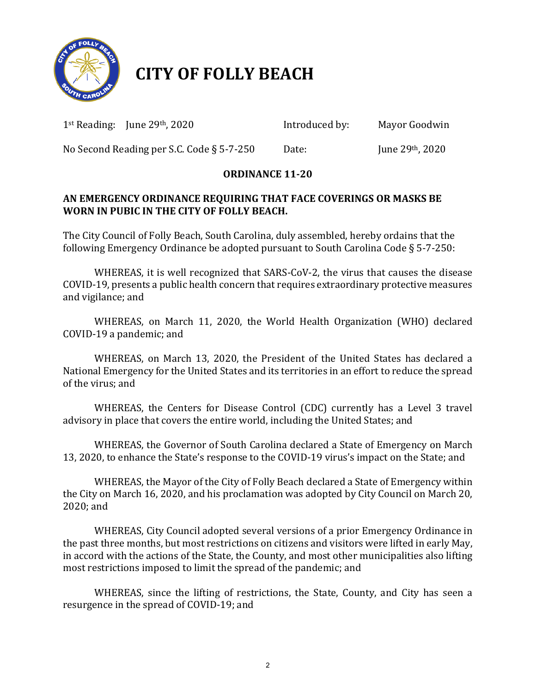

## **CITY OF FOLLY BEACH**

1st Reading: June 29th, 2020 Introduced by:Mayor Goodwin

No Second Reading per S.C. Code § 5-7-250 Date: June 29th, 2020

## **ORDINANCE 11-20**

### **AN EMERGENCY ORDINANCE REQUIRING THAT FACE COVERINGS OR MASKS BE WORN IN PUBIC IN THE CITY OF FOLLY BEACH.**

The City Council of Folly Beach, South Carolina, duly assembled, hereby ordains that the following Emergency Ordinance be adopted pursuant to South Carolina Code § 5-7-250:

WHEREAS, it is well recognized that SARS-CoV-2, the virus that causes the disease COVID-19, presents a public health concern that requires extraordinary protective measures and vigilance; and

WHEREAS, on March 11, 2020, the World Health Organization (WHO) declared COVID-19 a pandemic; and

WHEREAS, on March 13, 2020, the President of the United States has declared a National Emergency for the United States and its territories in an effort to reduce the spread of the virus; and

WHEREAS, the Centers for Disease Control (CDC) currently has a Level 3 travel advisory in place that covers the entire world, including the United States; and

WHEREAS, the Governor of South Carolina declared a State of Emergency on March 13, 2020, to enhance the State's response to the COVID-19 virus's impact on the State; and

WHEREAS, the Mayor of the City of Folly Beach declared a State of Emergency within the City on March 16, 2020, and his proclamation was adopted by City Council on March 20, 2020; and

WHEREAS, City Council adopted several versions of a prior Emergency Ordinance in the past three months, but most restrictions on citizens and visitors were lifted in early May, in accord with the actions of the State, the County, and most other municipalities also lifting most restrictions imposed to limit the spread of the pandemic; and

WHEREAS, since the lifting of restrictions, the State, County, and City has seen a resurgence in the spread of COVID-19; and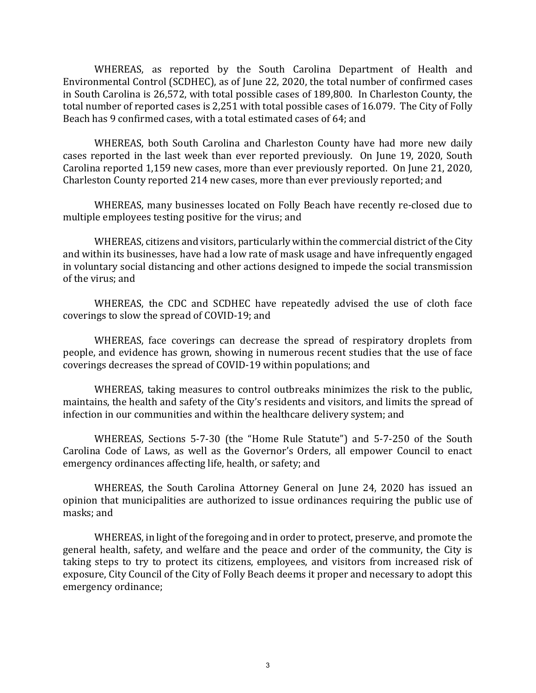WHEREAS, as reported by the South Carolina Department of Health and Environmental Control (SCDHEC), as of June 22, 2020, the total number of confirmed cases in South Carolina is 26,572, with total possible cases of 189,800. In Charleston County, the total number of reported cases is 2,251 with total possible cases of 16.079. The City of Folly Beach has 9 confirmed cases, with a total estimated cases of 64; and

WHEREAS, both South Carolina and Charleston County have had more new daily cases reported in the last week than ever reported previously. On June 19, 2020, South Carolina reported 1,159 new cases, more than ever previously reported. On June 21, 2020, Charleston County reported 214 new cases, more than ever previously reported; and

WHEREAS, many businesses located on Folly Beach have recently re-closed due to multiple employees testing positive for the virus; and

WHEREAS, citizens and visitors, particularly within the commercial district of the City and within its businesses, have had a low rate of mask usage and have infrequently engaged in voluntary social distancing and other actions designed to impede the social transmission of the virus; and

WHEREAS, the CDC and SCDHEC have repeatedly advised the use of cloth face coverings to slow the spread of COVID-19; and

WHEREAS, face coverings can decrease the spread of respiratory droplets from people, and evidence has grown, showing in numerous recent studies that the use of face coverings decreases the spread of COVID-19 within populations; and

WHEREAS, taking measures to control outbreaks minimizes the risk to the public, maintains, the health and safety of the City's residents and visitors, and limits the spread of infection in our communities and within the healthcare delivery system; and

WHEREAS, Sections 5-7-30 (the "Home Rule Statute") and 5-7-250 of the South Carolina Code of Laws, as well as the Governor's Orders, all empower Council to enact emergency ordinances affecting life, health, or safety; and

WHEREAS, the South Carolina Attorney General on June 24, 2020 has issued an opinion that municipalities are authorized to issue ordinances requiring the public use of masks; and

WHEREAS, in light of the foregoing and in order to protect, preserve, and promote the general health, safety, and welfare and the peace and order of the community, the City is taking steps to try to protect its citizens, employees, and visitors from increased risk of exposure, City Council of the City of Folly Beach deems it proper and necessary to adopt this emergency ordinance;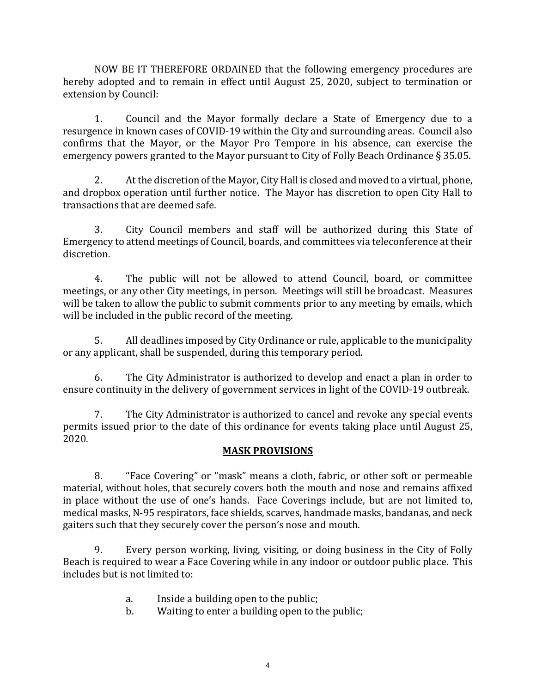NOW BE IT THEREFORE ORDAINED that the following emergency procedures are hereby adopted and to remain in effect until August 25, 2020, subject to termination or extension by Council:

1. Council and the Mayor formally declare a State of Emergency due to a resurgence in known cases of COVID-19 within the City and surrounding areas. Council also confirms that the Mayor, or the Mayor Pro Tempore in his absence, can exercise the emergency powers granted to the Mayor pursuant to City of Folly Beach Ordinance § 35.05.

2. At the discretion of the Mayor, City Hall is closed and moved to a virtual, phone, and dropbox operation until further notice. The Mayor has discretion to open City Hall to transactions that are deemed safe.

3. City Council members and staff will be authorized during this State of Emergency to attend meetings of Council, boards, and committees via teleconference at their discretion.

4. The public will not be allowed to attend Council, board, or committee meetings, or any other City meetings, in person. Meetings will still be broadcast. Measures will be taken to allow the public to submit comments prior to any meeting by emails, which will be included in the public record of the meeting.

5. All deadlines imposed by City Ordinance or rule, applicable to the municipality or any applicant, shall be suspended, during this temporary period.

 6. The City Administrator is authorized to develop and enact a plan in order to ensure continuity in the delivery of government services in light of the COVID-19 outbreak.

7. The City Administrator is authorized to cancel and revoke any special events permits issued prior to the date of this ordinance for events taking place until August 25, 2020.

### **MASK PROVISIONS**

8. "Face Covering" or "mask" means a cloth, fabric, or other soft or permeable material, without holes, that securely covers both the mouth and nose and remains affixed in place without the use of one's hands. Face Coverings include, but are not limited to, medical masks, N-95 respirators, face shields, scarves, handmade masks, bandanas, and neck gaiters such that they securely cover the person's nose and mouth.

9. Every person working, living, visiting, or doing business in the City of Folly Beach is required to wear a Face Covering while in any indoor or outdoor public place. This includes but is not limited to:

- a. Inside a building open to the public;<br>b. Waiting to enter a building open to the
- Waiting to enter a building open to the public;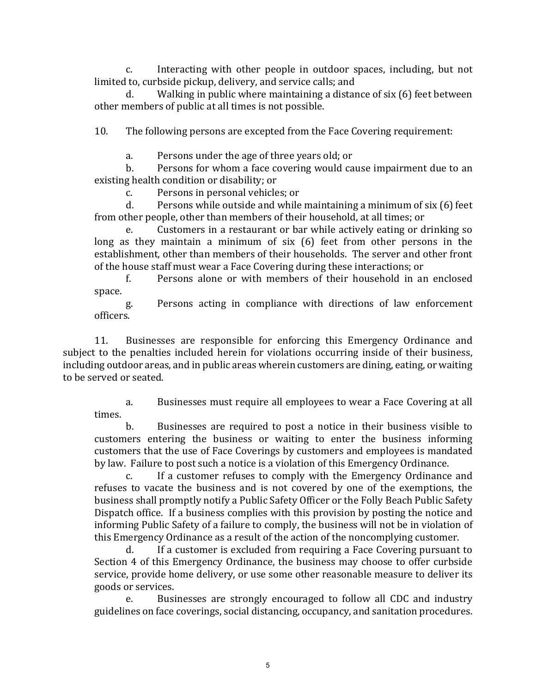c. Interacting with other people in outdoor spaces, including, but not limited to, curbside pickup, delivery, and service calls; and

d. Walking in public where maintaining a distance of six (6) feet between other members of public at all times is not possible.

10. The following persons are excepted from the Face Covering requirement:

a. Persons under the age of three years old; or<br>b. Persons for whom a face covering would cap

Persons for whom a face covering would cause impairment due to an existing health condition or disability; or<br>c. Persons in personal vehicle

c. Persons in personal vehicles; or<br>d. Persons while outside and while

Persons while outside and while maintaining a minimum of six (6) feet from other people, other than members of their household, at all times; or

e. Customers in a restaurant or bar while actively eating or drinking so long as they maintain a minimum of six (6) feet from other persons in the establishment, other than members of their households. The server and other front of the house staff must wear a Face Covering during these interactions; or<br>f. Persons alone or with members of their household in an

Persons alone or with members of their household in an enclosed space.

g. Persons acting in compliance with directions of law enforcement officers.

11. Businesses are responsible for enforcing this Emergency Ordinance and subject to the penalties included herein for violations occurring inside of their business, including outdoor areas, and in public areas wherein customers are dining, eating, or waiting to be served or seated.

a. Businesses must require all employees to wear a Face Covering at all times.

b. Businesses are required to post a notice in their business visible to customers entering the business or waiting to enter the business informing customers that the use of Face Coverings by customers and employees is mandated by law. Failure to post such a notice is a violation of this Emergency Ordinance.<br>C. Let a customer refuses to comply with the Emergency Ordinance

If a customer refuses to comply with the Emergency Ordinance and refuses to vacate the business and is not covered by one of the exemptions, the business shall promptly notify a Public Safety Officer or the Folly Beach Public Safety Dispatch office. If a business complies with this provision by posting the notice and informing Public Safety of a failure to comply, the business will not be in violation of this Emergency Ordinance as a result of the action of the noncomplying customer.

If a customer is excluded from requiring a Face Covering pursuant to Section 4 of this Emergency Ordinance, the business may choose to offer curbside service, provide home delivery, or use some other reasonable measure to deliver its goods or services.<br>e. Busi

Businesses are strongly encouraged to follow all CDC and industry guidelines on face coverings, social distancing, occupancy, and sanitation procedures.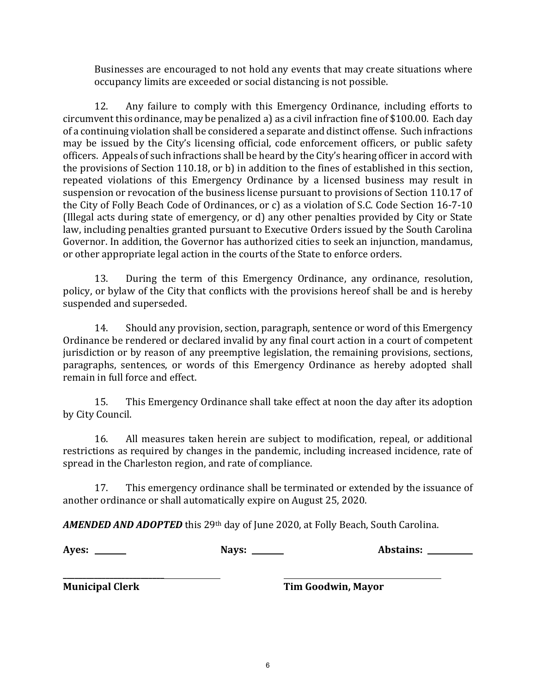Businesses are encouraged to not hold any events that may create situations where occupancy limits are exceeded or social distancing is not possible.

12. Any failure to comply with this Emergency Ordinance, including efforts to circumvent this ordinance, may be penalized a) as a civil infraction fine of \$100.00. Each day of a continuing violation shall be considered a separate and distinct offense. Such infractions may be issued by the City's licensing official, code enforcement officers, or public safety officers. Appeals of such infractions shall be heard by the City's hearing officer in accord with the provisions of Section 110.18, or b) in addition to the fines of established in this section, repeated violations of this Emergency Ordinance by a licensed business may result in suspension or revocation of the business license pursuant to provisions of Section 110.17 of the City of Folly Beach Code of Ordinances, or c) as a violation of S.C. Code Section 16-7-10 (Illegal acts during state of emergency, or d) any other penalties provided by City or State law, including penalties granted pursuant to Executive Orders issued by the South Carolina Governor. In addition, the Governor has authorized cities to seek an injunction, mandamus, or other appropriate legal action in the courts of the State to enforce orders.

13. During the term of this Emergency Ordinance, any ordinance, resolution, policy, or bylaw of the City that conflicts with the provisions hereof shall be and is hereby suspended and superseded.

14. Should any provision, section, paragraph, sentence or word of this Emergency Ordinance be rendered or declared invalid by any final court action in a court of competent jurisdiction or by reason of any preemptive legislation, the remaining provisions, sections, paragraphs, sentences, or words of this Emergency Ordinance as hereby adopted shall remain in full force and effect.

15. This Emergency Ordinance shall take effect at noon the day after its adoption by City Council.

16. All measures taken herein are subject to modification, repeal, or additional restrictions as required by changes in the pandemic, including increased incidence, rate of spread in the Charleston region, and rate of compliance.

17. This emergency ordinance shall be terminated or extended by the issuance of another ordinance or shall automatically expire on August 25, 2020.

*AMENDED AND ADOPTED* this 29th day of June 2020, at Folly Beach, South Carolina.

**Ayes: Nays: Abstains:** 

**\_\_\_\_\_\_\_\_\_\_\_\_\_\_\_\_\_\_\_\_\_\_\_\_\_\_** 

**Municipal Clerk Tim Goodwin, Mayor**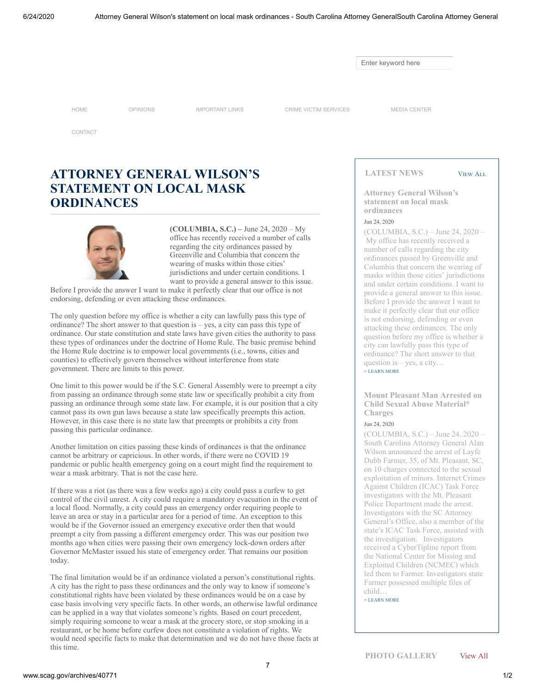Enter keyword here

[HOME](http://www.scag.gov/) [OPINIONS](http://www.scag.gov/opinions) [IMPORTANT LINKS](http://www.scag.gov/important-links) [CRIME VICTIM SERVICES](https://www.scag.gov/crime-victim-assistance-grants) [MEDIA CENTER](http://www.scag.gov/media-center)

[CONTACT](http://www.scag.gov/contact-us)

## **ATTORNEY GENERAL WILSON'S STATEMENT ON LOCAL MASK ORDINANCES**

**(COLUMBIA, S.C.) –** June 24, 2020 – My office has recently received a number of calls regarding the city ordinances passed by Greenville and Columbia that concern the wearing of masks within those cities' jurisdictions and under certain conditions. I want to provide a general answer to this issue.

Before I provide the answer I want to make it perfectly clear that our office is not endorsing, defending or even attacking these ordinances.

The only question before my office is whether a city can lawfully pass this type of ordinance? The short answer to that question is – yes, a city can pass this type of ordinance. Our state constitution and state laws have given cities the authority to pass these types of ordinances under the doctrine of Home Rule. The basic premise behind the Home Rule doctrine is to empower local governments (i.e., towns, cities and counties) to effectively govern themselves without interference from state government. There are limits to this power.

One limit to this power would be if the S.C. General Assembly were to preempt a city from passing an ordinance through some state law or specifically prohibit a city from passing an ordinance through some state law. For example, it is our position that a city cannot pass its own gun laws because a state law specifically preempts this action. However, in this case there is no state law that preempts or prohibits a city from passing this particular ordinance.

Another limitation on cities passing these kinds of ordinances is that the ordinance cannot be arbitrary or capricious. In other words, if there were no COVID 19 pandemic or public health emergency going on a court might find the requirement to wear a mask arbitrary. That is not the case here.

If there was a riot (as there was a few weeks ago) a city could pass a curfew to get control of the civil unrest. A city could require a mandatory evacuation in the event of a local flood. Normally, a city could pass an emergency order requiring people to leave an area or stay in a particular area for a period of time. An exception to this would be if the Governor issued an emergency executive order then that would preempt a city from passing a different emergency order. This was our position two months ago when cities were passing their own emergency lock-down orders after Governor McMaster issued his state of emergency order. That remains our position today.

The final limitation would be if an ordinance violated a person's constitutional rights. A city has the right to pass these ordinances and the only way to know if someone's constitutional rights have been violated by these ordinances would be on a case by case basis involving very specific facts. In other words, an otherwise lawful ordinance can be applied in a way that violates someone's rights. Based on court precedent, simply requiring someone to wear a mask at the grocery store, or stop smoking in a restaurant, or be home before curfew does not constitute a violation of rights. We would need specific facts to make that determination and we do not have those facts at this time.

**LATEST NEWS**

VIEW ALL

**[Attorney General Wilson's](http://www.scag.gov/archives/40771) statement on local mask ordinances**

#### Jun 24, 2020

(COLUMBIA, S.C.) – June 24, 2020 – My office has recently received a number of calls regarding the city ordinances passed by Greenville and Columbia that concern the wearing of masks within those cities' jurisdictions and under certain conditions. I want to provide a general answer to this issue. Before I provide the answer I want to make it perfectly clear that our office is not endorsing, defending or even attacking these ordinances. The only question before my office is whether a city can lawfully pass this type of ordinance? The short answer to that question is  $-$  yes, a city...  $+$  LEARN MORE

**[Mount Pleasant Man Arrested on](http://www.scag.gov/archives/40770) Child Sexual Abuse Material\* Charges**

#### Jun 24, 2020

(COLUMBIA, S.C.) – June 24, 2020 – South Carolina Attorney General Alan Wilson announced the arrest of Layfe Dubb Farmer, 35, of Mt. Pleasant, SC, on 10 charges connected to the sexual exploitation of minors. Internet Crimes Against Children (ICAC) Task Force investigators with the Mt. Pleasant Police Department made the arrest. Investigators with the SC Attorney General's Office, also a member of the state's ICAC Task Force, assisted with the investigation. Investigators received a CyberTipline report from the National Center for Missing and Exploited Children (NCMEC) which led them to Farmer. Investigators state Farmer possessed multiple files of child…

[+ LEARN MORE](http://www.scag.gov/archives/40770)